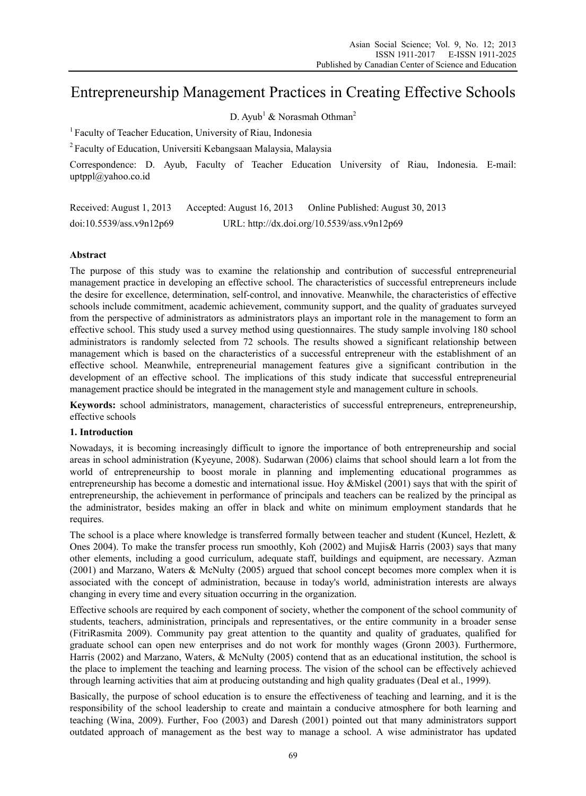# Entrepreneurship Management Practices in Creating Effective Schools

D. Ayub<sup>1</sup> & Norasmah Othman<sup>2</sup>

<sup>1</sup> Faculty of Teacher Education, University of Riau, Indonesia

2 Faculty of Education, Universiti Kebangsaan Malaysia, Malaysia

Correspondence: D. Ayub, Faculty of Teacher Education University of Riau, Indonesia. E-mail: uptppl@yahoo.co.id

Received: August 1, 2013 Accepted: August 16, 2013 Online Published: August 30, 2013 doi:10.5539/ass.v9n12p69 URL: http://dx.doi.org/10.5539/ass.v9n12p69

# **Abstract**

The purpose of this study was to examine the relationship and contribution of successful entrepreneurial management practice in developing an effective school. The characteristics of successful entrepreneurs include the desire for excellence, determination, self-control, and innovative. Meanwhile, the characteristics of effective schools include commitment, academic achievement, community support, and the quality of graduates surveyed from the perspective of administrators as administrators plays an important role in the management to form an effective school. This study used a survey method using questionnaires. The study sample involving 180 school administrators is randomly selected from 72 schools. The results showed a significant relationship between management which is based on the characteristics of a successful entrepreneur with the establishment of an effective school. Meanwhile, entrepreneurial management features give a significant contribution in the development of an effective school. The implications of this study indicate that successful entrepreneurial management practice should be integrated in the management style and management culture in schools.

**Keywords:** school administrators, management, characteristics of successful entrepreneurs, entrepreneurship, effective schools

### **1. Introduction**

Nowadays, it is becoming increasingly difficult to ignore the importance of both entrepreneurship and social areas in school administration (Kyeyune, 2008). Sudarwan (2006) claims that school should learn a lot from the world of entrepreneurship to boost morale in planning and implementing educational programmes as entrepreneurship has become a domestic and international issue. Hoy &Miskel (2001) says that with the spirit of entrepreneurship, the achievement in performance of principals and teachers can be realized by the principal as the administrator, besides making an offer in black and white on minimum employment standards that he requires.

The school is a place where knowledge is transferred formally between teacher and student (Kuncel, Hezlett, & Ones 2004). To make the transfer process run smoothly, Koh (2002) and Mujis& Harris (2003) says that many other elements, including a good curriculum, adequate staff, buildings and equipment, are necessary. Azman (2001) and Marzano, Waters & McNulty (2005) argued that school concept becomes more complex when it is associated with the concept of administration, because in today's world, administration interests are always changing in every time and every situation occurring in the organization.

Effective schools are required by each component of society, whether the component of the school community of students, teachers, administration, principals and representatives, or the entire community in a broader sense (FitriRasmita 2009). Community pay great attention to the quantity and quality of graduates, qualified for graduate school can open new enterprises and do not work for monthly wages (Gronn 2003). Furthermore, Harris (2002) and Marzano, Waters, & McNulty (2005) contend that as an educational institution, the school is the place to implement the teaching and learning process. The vision of the school can be effectively achieved through learning activities that aim at producing outstanding and high quality graduates (Deal et al., 1999).

Basically, the purpose of school education is to ensure the effectiveness of teaching and learning, and it is the responsibility of the school leadership to create and maintain a conducive atmosphere for both learning and teaching (Wina, 2009). Further, Foo (2003) and Daresh (2001) pointed out that many administrators support outdated approach of management as the best way to manage a school. A wise administrator has updated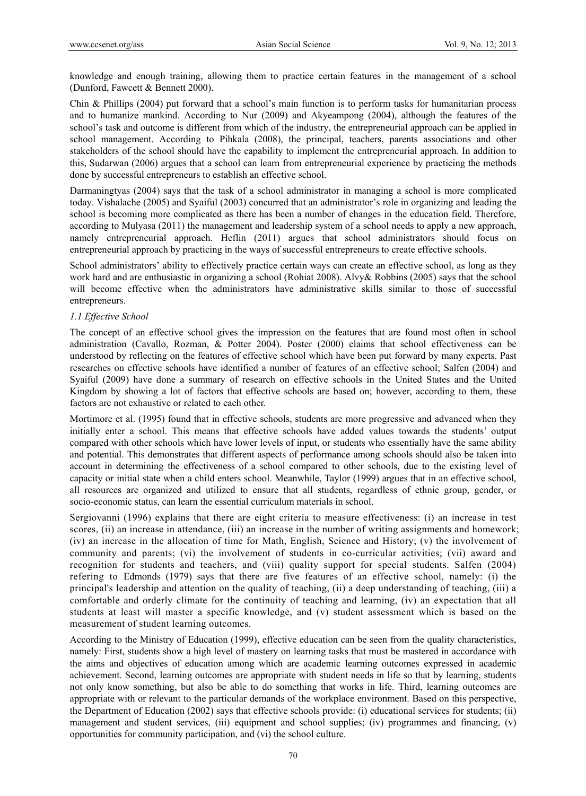knowledge and enough training, allowing them to practice certain features in the management of a school (Dunford, Fawcett & Bennett 2000).

Chin & Phillips (2004) put forward that a school's main function is to perform tasks for humanitarian process and to humanize mankind. According to Nur (2009) and Akyeampong (2004), although the features of the school's task and outcome is different from which of the industry, the entrepreneurial approach can be applied in school management. According to Pihkala (2008), the principal, teachers, parents associations and other stakeholders of the school should have the capability to implement the entrepreneurial approach. In addition to this, Sudarwan (2006) argues that a school can learn from entrepreneurial experience by practicing the methods done by successful entrepreneurs to establish an effective school.

Darmaningtyas (2004) says that the task of a school administrator in managing a school is more complicated today. Vishalache (2005) and Syaiful (2003) concurred that an administrator's role in organizing and leading the school is becoming more complicated as there has been a number of changes in the education field. Therefore, according to Mulyasa (2011) the management and leadership system of a school needs to apply a new approach, namely entrepreneurial approach. Heflin (2011) argues that school administrators should focus on entrepreneurial approach by practicing in the ways of successful entrepreneurs to create effective schools.

School administrators' ability to effectively practice certain ways can create an effective school, as long as they work hard and are enthusiastic in organizing a school (Rohiat 2008). Alvy& Robbins (2005) says that the school will become effective when the administrators have administrative skills similar to those of successful entrepreneurs.

# *1.1 Effective School*

The concept of an effective school gives the impression on the features that are found most often in school administration (Cavallo, Rozman, & Potter 2004). Poster (2000) claims that school effectiveness can be understood by reflecting on the features of effective school which have been put forward by many experts. Past researches on effective schools have identified a number of features of an effective school; Salfen (2004) and Syaiful (2009) have done a summary of research on effective schools in the United States and the United Kingdom by showing a lot of factors that effective schools are based on; however, according to them, these factors are not exhaustive or related to each other.

Mortimore et al. (1995) found that in effective schools, students are more progressive and advanced when they initially enter a school. This means that effective schools have added values towards the students' output compared with other schools which have lower levels of input, or students who essentially have the same ability and potential. This demonstrates that different aspects of performance among schools should also be taken into account in determining the effectiveness of a school compared to other schools, due to the existing level of capacity or initial state when a child enters school. Meanwhile, Taylor (1999) argues that in an effective school, all resources are organized and utilized to ensure that all students, regardless of ethnic group, gender, or socio-economic status, can learn the essential curriculum materials in school.

Sergiovanni (1996) explains that there are eight criteria to measure effectiveness: (i) an increase in test scores, (ii) an increase in attendance, (iii) an increase in the number of writing assignments and homework; (iv) an increase in the allocation of time for Math, English, Science and History; (v) the involvement of community and parents; (vi) the involvement of students in co-curricular activities; (vii) award and recognition for students and teachers, and (viii) quality support for special students. Salfen (2004) refering to Edmonds (1979) says that there are five features of an effective school, namely: (i) the principal's leadership and attention on the quality of teaching, (ii) a deep understanding of teaching, (iii) a comfortable and orderly climate for the continuity of teaching and learning, (iv) an expectation that all students at least will master a specific knowledge, and (v) student assessment which is based on the measurement of student learning outcomes.

According to the Ministry of Education (1999), effective education can be seen from the quality characteristics, namely: First, students show a high level of mastery on learning tasks that must be mastered in accordance with the aims and objectives of education among which are academic learning outcomes expressed in academic achievement. Second, learning outcomes are appropriate with student needs in life so that by learning, students not only know something, but also be able to do something that works in life. Third, learning outcomes are appropriate with or relevant to the particular demands of the workplace environment. Based on this perspective, the Department of Education (2002) says that effective schools provide: (i) educational services for students; (ii) management and student services, (iii) equipment and school supplies; (iv) programmes and financing, (v) opportunities for community participation, and (vi) the school culture.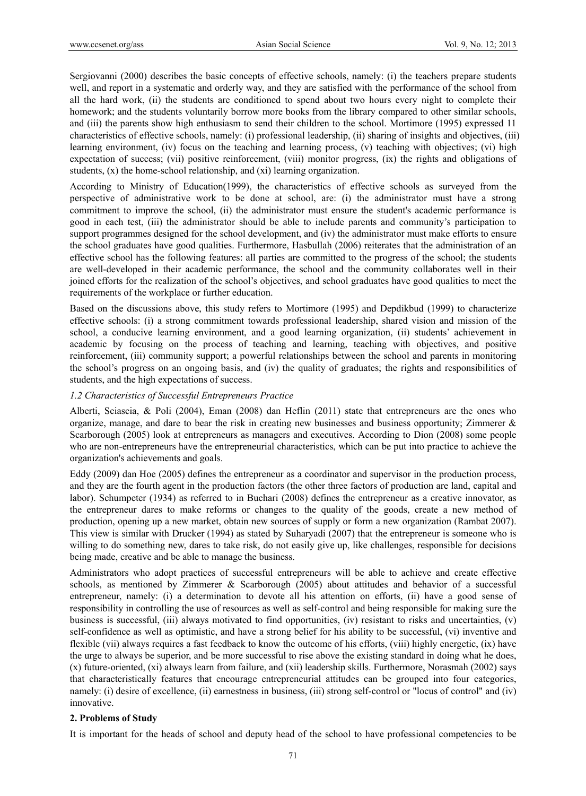Sergiovanni (2000) describes the basic concepts of effective schools, namely: (i) the teachers prepare students well, and report in a systematic and orderly way, and they are satisfied with the performance of the school from all the hard work, (ii) the students are conditioned to spend about two hours every night to complete their homework; and the students voluntarily borrow more books from the library compared to other similar schools, and (iii) the parents show high enthusiasm to send their children to the school. Mortimore (1995) expressed 11 characteristics of effective schools, namely: (i) professional leadership, (ii) sharing of insights and objectives, (iii) learning environment, (iv) focus on the teaching and learning process, (v) teaching with objectives; (vi) high expectation of success; (vii) positive reinforcement, (viii) monitor progress, (ix) the rights and obligations of students, (x) the home-school relationship, and (xi) learning organization.

According to Ministry of Education(1999), the characteristics of effective schools as surveyed from the perspective of administrative work to be done at school, are: (i) the administrator must have a strong commitment to improve the school, (ii) the administrator must ensure the student's academic performance is good in each test, (iii) the administrator should be able to include parents and community's participation to support programmes designed for the school development, and (iv) the administrator must make efforts to ensure the school graduates have good qualities. Furthermore, Hasbullah (2006) reiterates that the administration of an effective school has the following features: all parties are committed to the progress of the school; the students are well-developed in their academic performance, the school and the community collaborates well in their joined efforts for the realization of the school's objectives, and school graduates have good qualities to meet the requirements of the workplace or further education.

Based on the discussions above, this study refers to Mortimore (1995) and Depdikbud (1999) to characterize effective schools: (i) a strong commitment towards professional leadership, shared vision and mission of the school, a conducive learning environment, and a good learning organization, (ii) students' achievement in academic by focusing on the process of teaching and learning, teaching with objectives, and positive reinforcement, (iii) community support; a powerful relationships between the school and parents in monitoring the school's progress on an ongoing basis, and (iv) the quality of graduates; the rights and responsibilities of students, and the high expectations of success.

## *1.2 Characteristics of Successful Entrepreneurs Practice*

Alberti, Sciascia, & Poli (2004), Eman (2008) dan Heflin (2011) state that entrepreneurs are the ones who organize, manage, and dare to bear the risk in creating new businesses and business opportunity; Zimmerer  $\&$ Scarborough (2005) look at entrepreneurs as managers and executives. According to Dion (2008) some people who are non-entrepreneurs have the entrepreneurial characteristics, which can be put into practice to achieve the organization's achievements and goals.

Eddy (2009) dan Hoe (2005) defines the entrepreneur as a coordinator and supervisor in the production process, and they are the fourth agent in the production factors (the other three factors of production are land, capital and labor). Schumpeter (1934) as referred to in Buchari (2008) defines the entrepreneur as a creative innovator, as the entrepreneur dares to make reforms or changes to the quality of the goods, create a new method of production, opening up a new market, obtain new sources of supply or form a new organization (Rambat 2007). This view is similar with Drucker (1994) as stated by Suharyadi (2007) that the entrepreneur is someone who is willing to do something new, dares to take risk, do not easily give up, like challenges, responsible for decisions being made, creative and be able to manage the business.

Administrators who adopt practices of successful entrepreneurs will be able to achieve and create effective schools, as mentioned by Zimmerer & Scarborough (2005) about attitudes and behavior of a successful entrepreneur, namely: (i) a determination to devote all his attention on efforts, (ii) have a good sense of responsibility in controlling the use of resources as well as self-control and being responsible for making sure the business is successful, (iii) always motivated to find opportunities, (iv) resistant to risks and uncertainties, (v) self-confidence as well as optimistic, and have a strong belief for his ability to be successful, (vi) inventive and flexible (vii) always requires a fast feedback to know the outcome of his efforts, (viii) highly energetic, (ix) have the urge to always be superior, and be more successful to rise above the existing standard in doing what he does, (x) future-oriented, (xi) always learn from failure, and (xii) leadership skills. Furthermore, Norasmah (2002) says that characteristically features that encourage entrepreneurial attitudes can be grouped into four categories, namely: (i) desire of excellence, (ii) earnestness in business, (iii) strong self-control or "locus of control" and (iv) innovative.

### **2. Problems of Study**

It is important for the heads of school and deputy head of the school to have professional competencies to be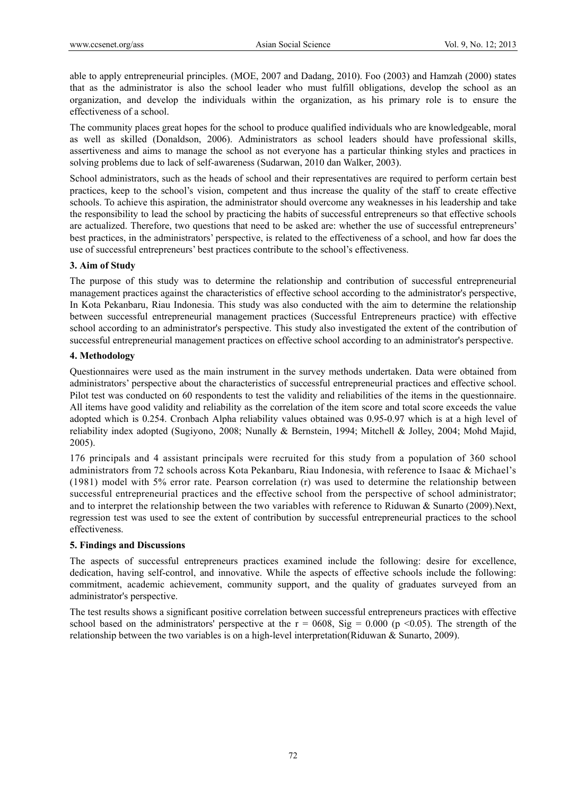able to apply entrepreneurial principles. (MOE, 2007 and Dadang, 2010). Foo (2003) and Hamzah (2000) states that as the administrator is also the school leader who must fulfill obligations, develop the school as an organization, and develop the individuals within the organization, as his primary role is to ensure the effectiveness of a school.

The community places great hopes for the school to produce qualified individuals who are knowledgeable, moral as well as skilled (Donaldson, 2006). Administrators as school leaders should have professional skills, assertiveness and aims to manage the school as not everyone has a particular thinking styles and practices in solving problems due to lack of self-awareness (Sudarwan, 2010 dan Walker, 2003).

School administrators, such as the heads of school and their representatives are required to perform certain best practices, keep to the school's vision, competent and thus increase the quality of the staff to create effective schools. To achieve this aspiration, the administrator should overcome any weaknesses in his leadership and take the responsibility to lead the school by practicing the habits of successful entrepreneurs so that effective schools are actualized. Therefore, two questions that need to be asked are: whether the use of successful entrepreneurs' best practices, in the administrators' perspective, is related to the effectiveness of a school, and how far does the use of successful entrepreneurs' best practices contribute to the school's effectiveness.

# **3. Aim of Study**

The purpose of this study was to determine the relationship and contribution of successful entrepreneurial management practices against the characteristics of effective school according to the administrator's perspective, In Kota Pekanbaru, Riau Indonesia. This study was also conducted with the aim to determine the relationship between successful entrepreneurial management practices (Successful Entrepreneurs practice) with effective school according to an administrator's perspective. This study also investigated the extent of the contribution of successful entrepreneurial management practices on effective school according to an administrator's perspective.

# **4. Methodology**

Questionnaires were used as the main instrument in the survey methods undertaken. Data were obtained from administrators' perspective about the characteristics of successful entrepreneurial practices and effective school. Pilot test was conducted on 60 respondents to test the validity and reliabilities of the items in the questionnaire. All items have good validity and reliability as the correlation of the item score and total score exceeds the value adopted which is 0.254. Cronbach Alpha reliability values obtained was 0.95-0.97 which is at a high level of reliability index adopted (Sugiyono, 2008; Nunally & Bernstein, 1994; Mitchell & Jolley, 2004; Mohd Majid, 2005).

176 principals and 4 assistant principals were recruited for this study from a population of 360 school administrators from 72 schools across Kota Pekanbaru, Riau Indonesia, with reference to Isaac & Michael's (1981) model with 5% error rate. Pearson correlation (r) was used to determine the relationship between successful entrepreneurial practices and the effective school from the perspective of school administrator; and to interpret the relationship between the two variables with reference to Riduwan & Sunarto (2009).Next, regression test was used to see the extent of contribution by successful entrepreneurial practices to the school effectiveness.

### **5. Findings and Discussions**

The aspects of successful entrepreneurs practices examined include the following: desire for excellence, dedication, having self-control, and innovative. While the aspects of effective schools include the following: commitment, academic achievement, community support, and the quality of graduates surveyed from an administrator's perspective.

The test results shows a significant positive correlation between successful entrepreneurs practices with effective school based on the administrators' perspective at the  $r = 0608$ , Sig = 0.000 (p <0.05). The strength of the relationship between the two variables is on a high-level interpretation(Riduwan & Sunarto, 2009).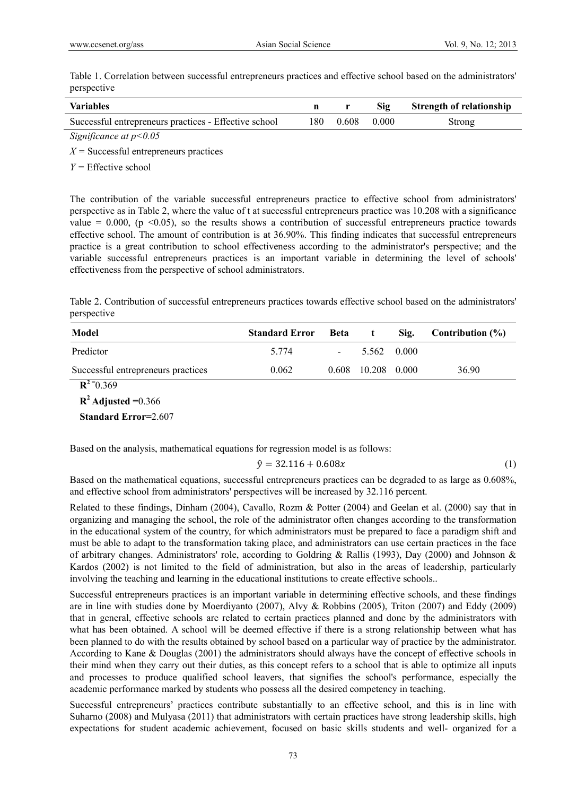Table 1. Correlation between successful entrepreneurs practices and effective school based on the administrators' perspective

| <b>Variables</b>                                      |     |       | Sig   | <b>Strength of relationship</b> |
|-------------------------------------------------------|-----|-------|-------|---------------------------------|
| Successful entrepreneurs practices - Effective school | 180 | 0.608 | 0.000 | Strong                          |
| Significance at $p<0.05$                              |     |       |       |                                 |

*X =* Successful entrepreneurs practices

*Y =* Effective school

The contribution of the variable successful entrepreneurs practice to effective school from administrators' perspective as in Table 2, where the value of t at successful entrepreneurs practice was 10.208 with a significance value = 0.000, ( $p \le 0.05$ ), so the results shows a contribution of successful entrepreneurs practice towards effective school. The amount of contribution is at 36.90%. This finding indicates that successful entrepreneurs practice is a great contribution to school effectiveness according to the administrator's perspective; and the variable successful entrepreneurs practices is an important variable in determining the level of schools' effectiveness from the perspective of school administrators.

Table 2. Contribution of successful entrepreneurs practices towards effective school based on the administrators' perspective

| Model                              | <b>Standard Error</b> | <b>Beta</b> |                    | Sig.    | Contribution $(\% )$ |
|------------------------------------|-----------------------|-------------|--------------------|---------|----------------------|
| Predictor                          | 5 7 7 4               | $\sim$      | 5.562              | - 0.000 |                      |
| Successful entrepreneurs practices | 0.062                 |             | 0.608 10.208 0.000 |         | 36.90                |

 $R^2 = 0.369$ 

 $R^2$  **Adjusted** = 0.366

 **Standard Error=**2.607

Based on the analysis, mathematical equations for regression model is as follows:

$$
\hat{y} = 32.116 + 0.608x\tag{1}
$$

Based on the mathematical equations, successful entrepreneurs practices can be degraded to as large as 0.608%, and effective school from administrators' perspectives will be increased by 32.116 percent.

Related to these findings, Dinham (2004), Cavallo, Rozm & Potter (2004) and Geelan et al. (2000) say that in organizing and managing the school, the role of the administrator often changes according to the transformation in the educational system of the country, for which administrators must be prepared to face a paradigm shift and must be able to adapt to the transformation taking place, and administrators can use certain practices in the face of arbitrary changes. Administrators' role, according to Goldring & Rallis (1993), Day (2000) and Johnson & Kardos (2002) is not limited to the field of administration, but also in the areas of leadership, particularly involving the teaching and learning in the educational institutions to create effective schools..

Successful entrepreneurs practices is an important variable in determining effective schools, and these findings are in line with studies done by Moerdiyanto (2007), Alvy & Robbins (2005), Triton (2007) and Eddy (2009) that in general, effective schools are related to certain practices planned and done by the administrators with what has been obtained. A school will be deemed effective if there is a strong relationship between what has been planned to do with the results obtained by school based on a particular way of practice by the administrator. According to Kane & Douglas (2001) the administrators should always have the concept of effective schools in their mind when they carry out their duties, as this concept refers to a school that is able to optimize all inputs and processes to produce qualified school leavers, that signifies the school's performance, especially the academic performance marked by students who possess all the desired competency in teaching.

Successful entrepreneurs' practices contribute substantially to an effective school, and this is in line with Suharno (2008) and Mulyasa (2011) that administrators with certain practices have strong leadership skills, high expectations for student academic achievement, focused on basic skills students and well- organized for a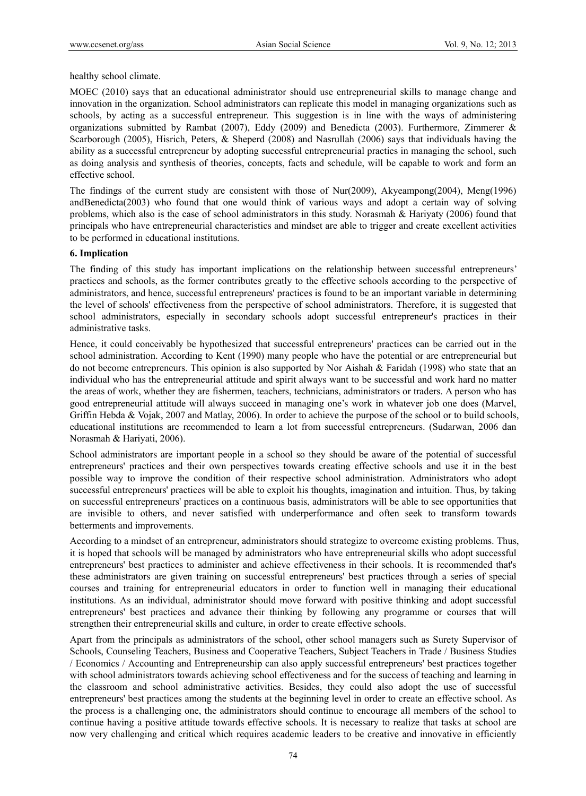healthy school climate.

MOEC (2010) says that an educational administrator should use entrepreneurial skills to manage change and innovation in the organization. School administrators can replicate this model in managing organizations such as schools, by acting as a successful entrepreneur. This suggestion is in line with the ways of administering organizations submitted by Rambat (2007), Eddy (2009) and Benedicta (2003). Furthermore, Zimmerer & Scarborough (2005), Hisrich, Peters, & Sheperd (2008) and Nasrullah (2006) says that individuals having the ability as a successful entrepreneur by adopting successful entrepreneurial practies in managing the school, such as doing analysis and synthesis of theories, concepts, facts and schedule, will be capable to work and form an effective school.

The findings of the current study are consistent with those of Nur(2009), Akyeampong(2004), Meng(1996) andBenedicta(2003) who found that one would think of various ways and adopt a certain way of solving problems, which also is the case of school administrators in this study. Norasmah & Hariyaty (2006) found that principals who have entrepreneurial characteristics and mindset are able to trigger and create excellent activities to be performed in educational institutions.

# **6. Implication**

The finding of this study has important implications on the relationship between successful entrepreneurs' practices and schools, as the former contributes greatly to the effective schools according to the perspective of administrators, and hence, successful entrepreneurs' practices is found to be an important variable in determining the level of schools' effectiveness from the perspective of school administrators. Therefore, it is suggested that school administrators, especially in secondary schools adopt successful entrepreneur's practices in their administrative tasks.

Hence, it could conceivably be hypothesized that successful entrepreneurs' practices can be carried out in the school administration. According to Kent (1990) many people who have the potential or are entrepreneurial but do not become entrepreneurs. This opinion is also supported by Nor Aishah & Faridah (1998) who state that an individual who has the entrepreneurial attitude and spirit always want to be successful and work hard no matter the areas of work, whether they are fishermen, teachers, technicians, administrators or traders. A person who has good entrepreneurial attitude will always succeed in managing one's work in whatever job one does (Marvel, Griffin Hebda & Vojak, 2007 and Matlay, 2006). In order to achieve the purpose of the school or to build schools, educational institutions are recommended to learn a lot from successful entrepreneurs. (Sudarwan, 2006 dan Norasmah & Hariyati, 2006).

School administrators are important people in a school so they should be aware of the potential of successful entrepreneurs' practices and their own perspectives towards creating effective schools and use it in the best possible way to improve the condition of their respective school administration. Administrators who adopt successful entrepreneurs' practices will be able to exploit his thoughts, imagination and intuition. Thus, by taking on successful entrepreneurs' practices on a continuous basis, administrators will be able to see opportunities that are invisible to others, and never satisfied with underperformance and often seek to transform towards betterments and improvements.

According to a mindset of an entrepreneur, administrators should strategize to overcome existing problems. Thus, it is hoped that schools will be managed by administrators who have entrepreneurial skills who adopt successful entrepreneurs' best practices to administer and achieve effectiveness in their schools. It is recommended that's these administrators are given training on successful entrepreneurs' best practices through a series of special courses and training for entrepreneurial educators in order to function well in managing their educational institutions. As an individual, administrator should move forward with positive thinking and adopt successful entrepreneurs' best practices and advance their thinking by following any programme or courses that will strengthen their entrepreneurial skills and culture, in order to create effective schools.

Apart from the principals as administrators of the school, other school managers such as Surety Supervisor of Schools, Counseling Teachers, Business and Cooperative Teachers, Subject Teachers in Trade / Business Studies / Economics / Accounting and Entrepreneurship can also apply successful entrepreneurs' best practices together with school administrators towards achieving school effectiveness and for the success of teaching and learning in the classroom and school administrative activities. Besides, they could also adopt the use of successful entrepreneurs' best practices among the students at the beginning level in order to create an effective school. As the process is a challenging one, the administrators should continue to encourage all members of the school to continue having a positive attitude towards effective schools. It is necessary to realize that tasks at school are now very challenging and critical which requires academic leaders to be creative and innovative in efficiently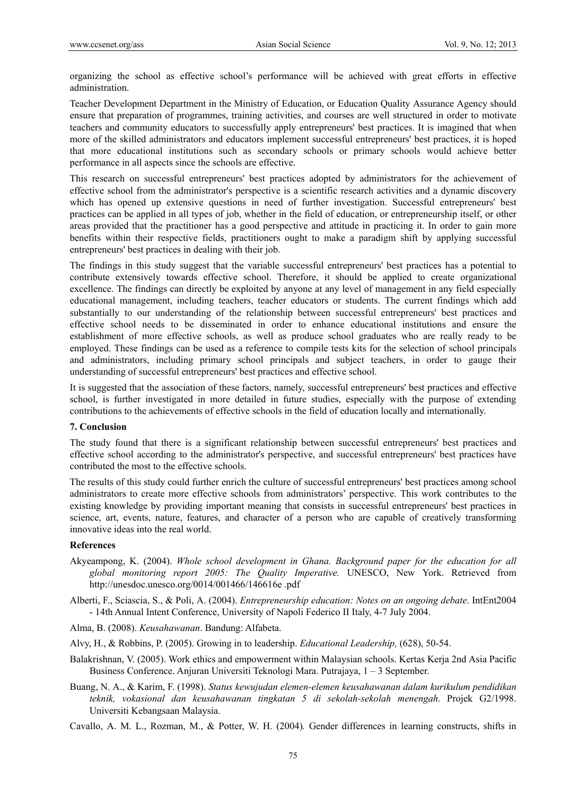organizing the school as effective school's performance will be achieved with great efforts in effective administration.

Teacher Development Department in the Ministry of Education, or Education Quality Assurance Agency should ensure that preparation of programmes, training activities, and courses are well structured in order to motivate teachers and community educators to successfully apply entrepreneurs' best practices. It is imagined that when more of the skilled administrators and educators implement successful entrepreneurs' best practices, it is hoped that more educational institutions such as secondary schools or primary schools would achieve better performance in all aspects since the schools are effective.

This research on successful entrepreneurs' best practices adopted by administrators for the achievement of effective school from the administrator's perspective is a scientific research activities and a dynamic discovery which has opened up extensive questions in need of further investigation. Successful entrepreneurs' best practices can be applied in all types of job, whether in the field of education, or entrepreneurship itself, or other areas provided that the practitioner has a good perspective and attitude in practicing it. In order to gain more benefits within their respective fields, practitioners ought to make a paradigm shift by applying successful entrepreneurs' best practices in dealing with their job.

The findings in this study suggest that the variable successful entrepreneurs' best practices has a potential to contribute extensively towards effective school. Therefore, it should be applied to create organizational excellence. The findings can directly be exploited by anyone at any level of management in any field especially educational management, including teachers, teacher educators or students. The current findings which add substantially to our understanding of the relationship between successful entrepreneurs' best practices and effective school needs to be disseminated in order to enhance educational institutions and ensure the establishment of more effective schools, as well as produce school graduates who are really ready to be employed. These findings can be used as a reference to compile tests kits for the selection of school principals and administrators, including primary school principals and subject teachers, in order to gauge their understanding of successful entrepreneurs' best practices and effective school.

It is suggested that the association of these factors, namely, successful entrepreneurs' best practices and effective school, is further investigated in more detailed in future studies, especially with the purpose of extending contributions to the achievements of effective schools in the field of education locally and internationally.

#### **7. Conclusion**

The study found that there is a significant relationship between successful entrepreneurs' best practices and effective school according to the administrator's perspective, and successful entrepreneurs' best practices have contributed the most to the effective schools.

The results of this study could further enrich the culture of successful entrepreneurs' best practices among school administrators to create more effective schools from administrators' perspective. This work contributes to the existing knowledge by providing important meaning that consists in successful entrepreneurs' best practices in science, art, events, nature, features, and character of a person who are capable of creatively transforming innovative ideas into the real world.

#### **References**

- Akyeampong, K. (2004). *Whole school development in Ghana. Background paper for the education for all global monitoring report 2005: The Quality Imperative.* UNESCO, New York. Retrieved from http://unesdoc.unesco.org/0014/001466/146616e .pdf
- Alberti, F., Sciascia, S., & Poli, A. (2004). *Entrepreneurship education: Notes on an ongoing debate*. IntEnt2004 - 14th Annual Intent Conference, University of Napoli Federico II Italy, 4-7 July 2004.
- Alma, B. (2008). *Keusahawanan*. Bandung: Alfabeta.
- Alvy, H., & Robbins, P. (2005). Growing in to leadership. *Educational Leadership,* (628), 50-54.
- Balakrishnan, V. (2005). Work ethics and empowerment within Malaysian schools. Kertas Kerja 2nd Asia Pacific Business Conference. Anjuran Universiti Teknologi Mara. Putrajaya, 1 – 3 September.
- Buang, N. A., & Karim, F. (1998). *Status kewujudan elemen-elemen keusahawanan dalam kurikulum pendidikan teknik, vokasional dan keusahawanan tingkatan 5 di sekolah-sekolah menengah*. Projek G2/1998. Universiti Kebangsaan Malaysia.
- Cavallo, A. M. L., Rozman, M., & Potter, W. H. (2004)*.* Gender differences in learning constructs, shifts in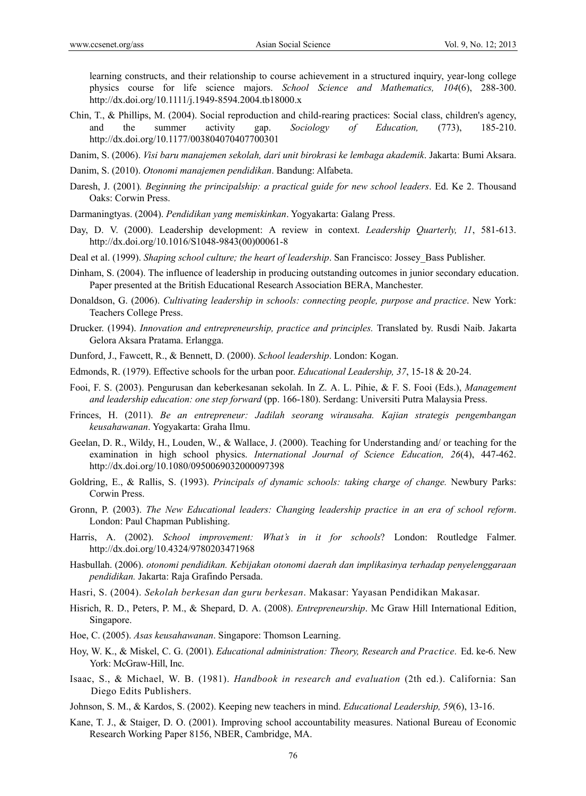learning constructs, and their relationship to course achievement in a structured inquiry, year-long college physics course for life science majors. *School Science and Mathematics, 104*(6), 288-300. http://dx.doi.org/10.1111/j.1949-8594.2004.tb18000.x

Chin, T., & Phillips, M. (2004). Social reproduction and child-rearing practices: Social class, children's agency, and the summer activity gap. *Sociology of Education,* (773), 185-210. http://dx.doi.org/10.1177/003804070407700301

Danim, S. (2006). *Visi baru manajemen sekolah, dari unit birokrasi ke lembaga akademik*. Jakarta: Bumi Aksara.

- Danim, S. (2010). *Otonomi manajemen pendidikan*. Bandung: Alfabeta.
- Daresh, J. (2001)*. Beginning the principalship: a practical guide for new school leaders*. Ed. Ke 2. Thousand Oaks: Corwin Press.
- Darmaningtyas. (2004). *Pendidikan yang memiskinkan*. Yogyakarta: Galang Press.
- Day, D. V. (2000). Leadership development: A review in context. *Leadership Quarterly, 11*, 581-613. http://dx.doi.org/10.1016/S1048-9843(00)00061-8
- Deal et al. (1999). *Shaping school culture; the heart of leadership*. San Francisco: Jossey\_Bass Publisher.
- Dinham, S. (2004). The influence of leadership in producing outstanding outcomes in junior secondary education. Paper presented at the British Educational Research Association BERA, Manchester.
- Donaldson, G. (2006). *Cultivating leadership in schools: connecting people, purpose and practice*. New York: Teachers College Press.
- Drucker. (1994). *Innovation and entrepreneurship, practice and principles.* Translated by. Rusdi Naib. Jakarta Gelora Aksara Pratama. Erlangga.
- Dunford, J., Fawcett, R., & Bennett, D. (2000). *School leadership*. London: Kogan.
- Edmonds, R. (1979). Effective schools for the urban poor. *Educational Leadership, 37*, 15-18 & 20-24.
- Fooi, F. S. (2003). Pengurusan dan keberkesanan sekolah. In Z. A. L. Pihie, & F. S. Fooi (Eds.), *Management and leadership education: one step forward* (pp. 166-180). Serdang: Universiti Putra Malaysia Press.
- Frinces, H. (2011). *Be an entrepreneur: Jadilah seorang wirausaha. Kajian strategis pengembangan keusahawanan*. Yogyakarta: Graha Ilmu.
- Geelan, D. R., Wildy, H., Louden, W., & Wallace, J. (2000). Teaching for Understanding and/ or teaching for the examination in high school physics. *International Journal of Science Education, 26*(4), 447-462. http://dx.doi.org/10.1080/0950069032000097398
- Goldring, E., & Rallis, S. (1993). *Principals of dynamic schools: taking charge of change.* Newbury Parks: Corwin Press.
- Gronn, P. (2003). *The New Educational leaders: Changing leadership practice in an era of school reform*. London: Paul Chapman Publishing.
- Harris, A. (2002). *School improvement: What's in it for schools*? London: Routledge Falmer. http://dx.doi.org/10.4324/9780203471968
- Hasbullah. (2006). *otonomi pendidikan. Kebijakan otonomi daerah dan implikasinya terhadap penyelenggaraan pendidikan.* Jakarta: Raja Grafindo Persada.
- Hasri, S. (2004). *Sekolah berkesan dan guru berkesan*. Makasar: Yayasan Pendidikan Makasar.
- Hisrich, R. D., Peters, P. M., & Shepard, D. A. (2008). *Entrepreneurship*. Mc Graw Hill International Edition, Singapore.
- Hoe, C. (2005). *Asas keusahawanan*. Singapore: Thomson Learning.
- Hoy, W. K., & Miskel, C. G. (2001). *Educational administration: Theory, Research and Practice.* Ed. ke-6. New York: McGraw-Hill, Inc.
- Isaac, S., & Michael, W. B. (1981). *Handbook in research and evaluation* (2th ed.). California: San Diego Edits Publishers.
- Johnson, S. M., & Kardos, S. (2002). Keeping new teachers in mind. *Educational Leadership, 59*(6), 13-16.
- Kane, T. J., & Staiger, D. O. (2001). Improving school accountability measures. National Bureau of Economic Research Working Paper 8156, NBER, Cambridge, MA.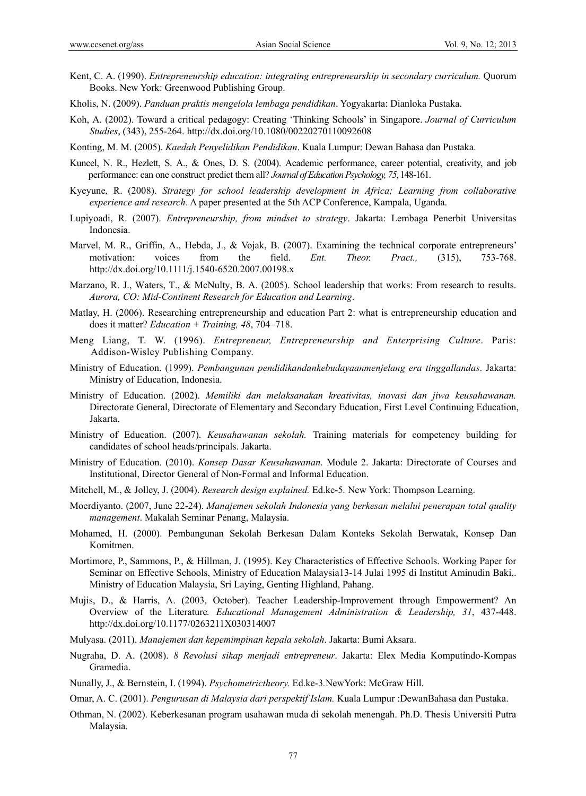- Kent, C. A. (1990). *Entrepreneurship education: integrating entrepreneurship in secondary curriculum.* Quorum Books. New York: Greenwood Publishing Group.
- Kholis, N. (2009). *Panduan praktis mengelola lembaga pendidikan*. Yogyakarta: Dianloka Pustaka.
- Koh, A. (2002). Toward a critical pedagogy: Creating 'Thinking Schools' in Singapore. *Journal of Curriculum Studies*, (343), 255-264. http://dx.doi.org/10.1080/00220270110092608
- Konting, M. M. (2005). *Kaedah Penyelidikan Pendidikan*. Kuala Lumpur: Dewan Bahasa dan Pustaka.
- Kuncel, N. R., Hezlett, S. A., & Ones, D. S. (2004). Academic performance, career potential, creativity, and job performance: can one construct predict them all? *Journal of Education Psychology, 75*, 148-161.
- Kyeyune, R. (2008). *Strategy for school leadership development in Africa; Learning from collaborative experience and research*. A paper presented at the 5th ACP Conference, Kampala, Uganda.
- Lupiyoadi, R. (2007). *Entrepreneurship, from mindset to strategy*. Jakarta: Lembaga Penerbit Universitas Indonesia.
- Marvel, M. R., Griffin, A., Hebda, J., & Vojak, B. (2007). Examining the technical corporate entrepreneurs' motivation: voices from the field. *Ent. Theor. Pract.,* (315), 753-768. http://dx.doi.org/10.1111/j.1540-6520.2007.00198.x
- Marzano, R. J., Waters, T., & McNulty, B. A. (2005). School leadership that works: From research to results. *Aurora, CO: Mid-Continent Research for Education and Learning*.
- Matlay, H. (2006). Researching entrepreneurship and education Part 2: what is entrepreneurship education and does it matter? *Education + Training, 48*, 704–718.
- Meng Liang, T. W. (1996). *Entrepreneur, Entrepreneurship and Enterprising Culture*. Paris: Addison-Wisley Publishing Company.
- Ministry of Education. (1999). *Pembangunan pendidikandankebudayaanmenjelang era tinggallandas*. Jakarta: Ministry of Education, Indonesia.
- Ministry of Education. (2002). *Memiliki dan melaksanakan kreativitas, inovasi dan jiwa keusahawanan.*  Directorate General, Directorate of Elementary and Secondary Education, First Level Continuing Education, Jakarta.
- Ministry of Education. (2007). *Keusahawanan sekolah.* Training materials for competency building for candidates of school heads/principals. Jakarta.
- Ministry of Education. (2010). *Konsep Dasar Keusahawanan*. Module 2. Jakarta: Directorate of Courses and Institutional, Director General of Non-Formal and Informal Education.
- Mitchell, M., & Jolley, J. (2004). *Research design explained.* Ed.ke-5*.* New York: Thompson Learning.
- Moerdiyanto. (2007, June 22-24). *Manajemen sekolah Indonesia yang berkesan melalui penerapan total quality management*. Makalah Seminar Penang, Malaysia.
- Mohamed, H. (2000). Pembangunan Sekolah Berkesan Dalam Konteks Sekolah Berwatak, Konsep Dan Komitmen.
- Mortimore, P., Sammons, P., & Hillman, J. (1995). Key Characteristics of Effective Schools. Working Paper for Seminar on Effective Schools, Ministry of Education Malaysia13-14 Julai 1995 di Institut Aminudin Baki,. Ministry of Education Malaysia, Sri Laying, Genting Highland, Pahang.
- Mujis, D., & Harris, A. (2003, October). Teacher Leadership-Improvement through Empowerment? An Overview of the Literature*. Educational Management Administration & Leadership, 31*, 437-448. http://dx.doi.org/10.1177/0263211X030314007
- Mulyasa. (2011). *Manajemen dan kepemimpinan kepala sekolah*. Jakarta: Bumi Aksara.
- Nugraha, D. A. (2008). *8 Revolusi sikap menjadi entrepreneur*. Jakarta: Elex Media Komputindo-Kompas Gramedia.
- Nunally, J., & Bernstein, I. (1994). *Psychometrictheory.* Ed.ke-3*.*NewYork: McGraw Hill.
- Omar, A. C. (2001). *Pengurusan di Malaysia dari perspektif Islam.* Kuala Lumpur :DewanBahasa dan Pustaka.
- Othman, N. (2002). Keberkesanan program usahawan muda di sekolah menengah. Ph.D. Thesis Universiti Putra Malaysia.